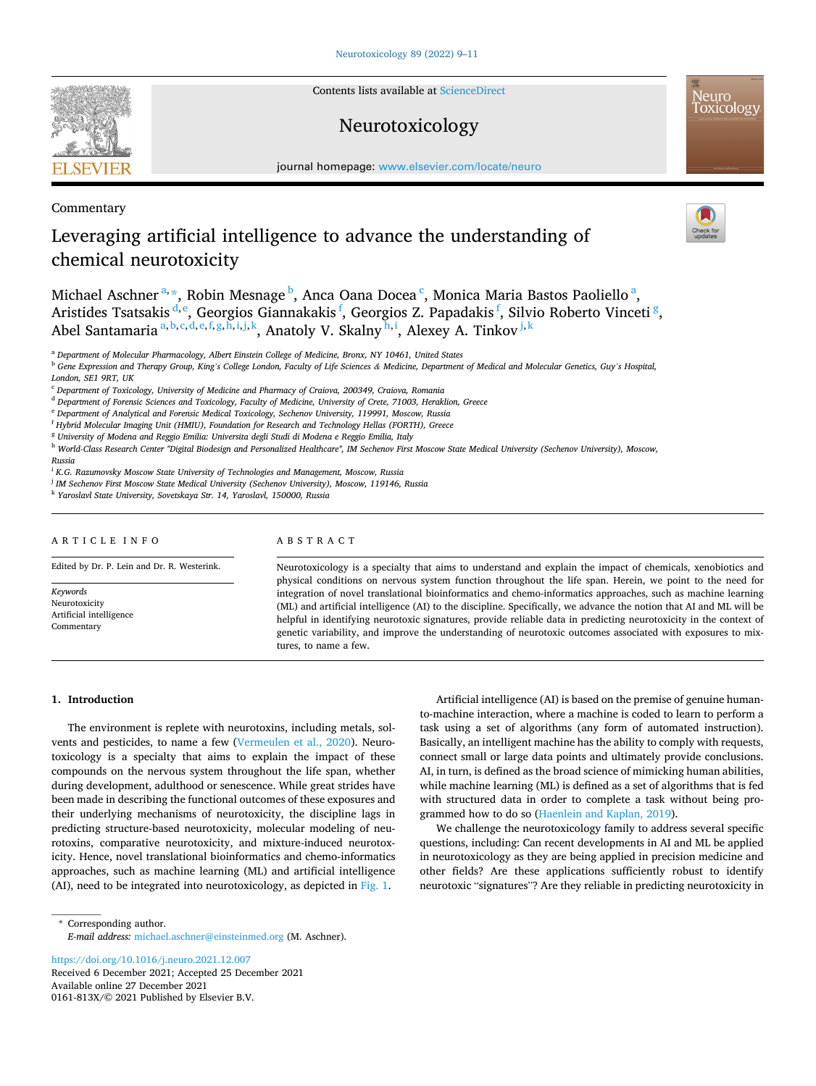**SEVIER** 

Contents lists available at [ScienceDirect](www.sciencedirect.com/science/journal/0161813X)

## Neurotoxicology



journal homepage: [www.elsevier.com/locate/neuro](https://www.elsevier.com/locate/neuro)

## Commentary

# Leveraging artificial intelligence to advance the understanding of chemical neurotoxicity

Michael Aschner $^{\mathrm{a},\ast},$  Robin Mesnage $^{\mathrm{b}}$ , Anca Oana Docea $^{\mathrm{c}}$ , Monica Maria Bastos Paoliello $^{\mathrm{a}},$ Aristides Tsatsakis <sup>d, e</sup>, Georgios Giannakakis <sup>f</sup>, Georgios Z. Papadakis <sup>f</sup>, Silvio Roberto Vinceti <sup>g</sup>, Abel Santamaria <sup>a, b, c, d, e, f, g, h, i, j, k</sup>, Anatoly V. Skalny <sup>h, i</sup>, Alexey A. Tinkov <sup>j, k</sup>

<sup>a</sup> *Department of Molecular Pharmacology, Albert Einstein College of Medicine, Bronx, NY 10461, United States* 

<sup>b</sup> *Gene Expression and Therapy Group, King's College London, Faculty of Life Sciences & Medicine, Department of Medical and Molecular Genetics, Guy's Hospital, London, SE1 9RT, UK* 

<sup>d</sup> *Department of Forensic Sciences and Toxicology, Faculty of Medicine, University of Crete, 71003, Heraklion, Greece* 

<sup>e</sup> *Department of Analytical and Forensic Medical Toxicology, Sechenov University, 119991, Moscow, Russia* 

<sup>f</sup> *Hybrid Molecular Imaging Unit (HMIU), Foundation for Research and Technology Hellas (FORTH), Greece* 

- <sup>g</sup> *University of Modena and Reggio Emilia: Universita degli Studi di Modena e Reggio Emilia, Italy*
- <sup>h</sup> *World-Class Research Center "Digital Biodesign and Personalized Healthcare", IM Sechenov First Moscow State Medical University (Sechenov University), Moscow,*

*Russia* 

<sup>i</sup> *K.G. Razumovsky Moscow State University of Technologies and Management, Moscow, Russia* 

<sup>j</sup> *IM Sechenov First Moscow State Medical University (Sechenov University), Moscow, 119146, Russia* 

<sup>k</sup> *Yaroslavl State University, Sovetskaya Str. 14, Yaroslavl, 150000, Russia* 

### ARTICLE INFO

Edited by Dr. P. Lein and Dr. R. Westerink.

*Keywords*  Neurotoxicity Artificial intelligence Commentary

ABSTRACT

Neurotoxicology is a specialty that aims to understand and explain the impact of chemicals, xenobiotics and physical conditions on nervous system function throughout the life span. Herein, we point to the need for integration of novel translational bioinformatics and chemo-informatics approaches, such as machine learning (ML) and artificial intelligence (AI) to the discipline. Specifically, we advance the notion that AI and ML will be helpful in identifying neurotoxic signatures, provide reliable data in predicting neurotoxicity in the context of genetic variability, and improve the understanding of neurotoxic outcomes associated with exposures to mixtures, to name a few.

### **1. Introduction**

The environment is replete with neurotoxins, including metals, solvents and pesticides, to name a few [\(Vermeulen et al., 2020](#page-2-0)). Neurotoxicology is a specialty that aims to explain the impact of these compounds on the nervous system throughout the life span, whether during development, adulthood or senescence. While great strides have been made in describing the functional outcomes of these exposures and their underlying mechanisms of neurotoxicity, the discipline lags in predicting structure-based neurotoxicity, molecular modeling of neurotoxins, comparative neurotoxicity, and mixture-induced neurotoxicity. Hence, novel translational bioinformatics and chemo-informatics approaches, such as machine learning (ML) and artificial intelligence (AI), need to be integrated into neurotoxicology, as depicted in [Fig. 1.](#page-1-0)

Artificial intelligence (AI) is based on the premise of genuine humanto-machine interaction, where a machine is coded to learn to perform a task using a set of algorithms (any form of automated instruction). Basically, an intelligent machine has the ability to comply with requests, connect small or large data points and ultimately provide conclusions. AI, in turn, is defined as the broad science of mimicking human abilities, while machine learning (ML) is defined as a set of algorithms that is fed with structured data in order to complete a task without being programmed how to do so [\(Haenlein and Kaplan, 2019\)](#page-2-0).

We challenge the neurotoxicology family to address several specific questions, including: Can recent developments in AI and ML be applied in neurotoxicology as they are being applied in precision medicine and other fields? Are these applications sufficiently robust to identify neurotoxic "signatures"? Are they reliable in predicting neurotoxicity in

\* Corresponding author. *E-mail address:* [michael.aschner@einsteinmed.org](mailto:michael.aschner@einsteinmed.org) (M. Aschner).

Available online 27 December 2021 0161-813X/© 2021 Published by Elsevier B.V. <https://doi.org/10.1016/j.neuro.2021.12.007> Received 6 December 2021; Accepted 25 December 2021

<sup>c</sup> *Department of Toxicology, University of Medicine and Pharmacy of Craiova, 200349, Craiova, Romania*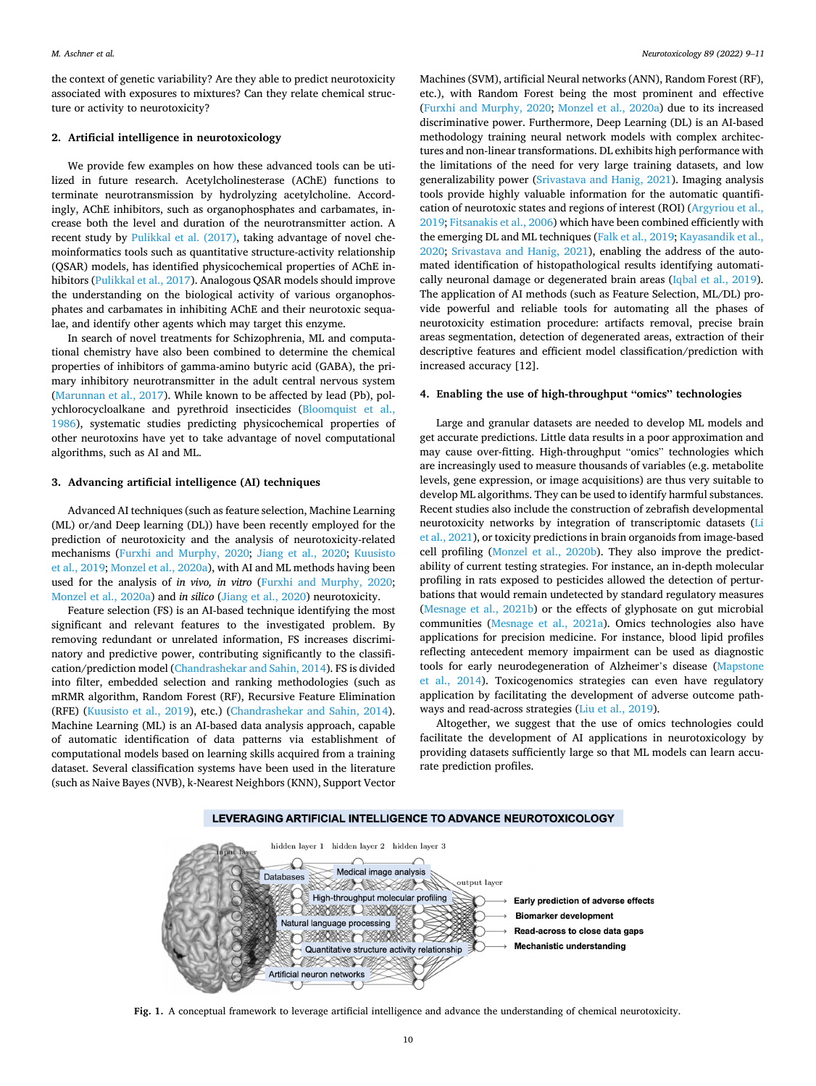<span id="page-1-0"></span>the context of genetic variability? Are they able to predict neurotoxicity associated with exposures to mixtures? Can they relate chemical structure or activity to neurotoxicity?

#### **2. Artificial intelligence in neurotoxicology**

We provide few examples on how these advanced tools can be utilized in future research. Acetylcholinesterase (AChE) functions to terminate neurotransmission by hydrolyzing acetylcholine. Accordingly, AChE inhibitors, such as organophosphates and carbamates, increase both the level and duration of the neurotransmitter action. A recent study by [Pulikkal et al. \(2017\),](#page-2-0) taking advantage of novel chemoinformatics tools such as quantitative structure-activity relationship (QSAR) models, has identified physicochemical properties of AChE inhibitors ([Pulikkal et al., 2017](#page-2-0)). Analogous QSAR models should improve the understanding on the biological activity of various organophosphates and carbamates in inhibiting AChE and their neurotoxic sequalae, and identify other agents which may target this enzyme.

In search of novel treatments for Schizophrenia, ML and computational chemistry have also been combined to determine the chemical properties of inhibitors of gamma-amino butyric acid (GABA), the primary inhibitory neurotransmitter in the adult central nervous system ([Marunnan et al., 2017\)](#page-2-0). While known to be affected by lead (Pb), polychlorocycloalkane and pyrethroid insecticides ([Bloomquist et al.,](#page-2-0)  [1986\)](#page-2-0), systematic studies predicting physicochemical properties of other neurotoxins have yet to take advantage of novel computational algorithms, such as AI and ML.

### **3. Advancing artificial intelligence (AI) techniques**

Advanced AI techniques (such as feature selection, Machine Learning (ML) or/and Deep learning (DL)) have been recently employed for the prediction of neurotoxicity and the analysis of neurotoxicity-related mechanisms [\(Furxhi and Murphy, 2020](#page-2-0); [Jiang et al., 2020;](#page-2-0) [Kuusisto](#page-2-0)  [et al., 2019; Monzel et al., 2020a\)](#page-2-0), with AI and ML methods having been used for the analysis of *in vivo, in vitro* ([Furxhi and Murphy, 2020](#page-2-0); [Monzel et al., 2020a](#page-2-0)) and *in silico* ([Jiang et al., 2020](#page-2-0)) neurotoxicity.

Feature selection (FS) is an AI-based technique identifying the most significant and relevant features to the investigated problem. By removing redundant or unrelated information, FS increases discriminatory and predictive power, contributing significantly to the classification/prediction model [\(Chandrashekar and Sahin, 2014](#page-2-0)). FS is divided into filter, embedded selection and ranking methodologies (such as mRMR algorithm, Random Forest (RF), Recursive Feature Elimination (RFE) ([Kuusisto et al., 2019](#page-2-0)), etc.) [\(Chandrashekar and Sahin, 2014](#page-2-0)). Machine Learning (ML) is an AI-based data analysis approach, capable of automatic identification of data patterns via establishment of computational models based on learning skills acquired from a training dataset. Several classification systems have been used in the literature (such as Naive Bayes (NVB), k-Nearest Neighbors (KNN), Support Vector

Machines (SVM), artificial Neural networks (ANN), Random Forest (RF), etc.), with Random Forest being the most prominent and effective ([Furxhi and Murphy, 2020](#page-2-0); [Monzel et al., 2020a](#page-2-0)) due to its increased discriminative power. Furthermore, Deep Learning (DL) is an AI-based methodology training neural network models with complex architectures and non-linear transformations. DL exhibits high performance with the limitations of the need for very large training datasets, and low generalizability power ([Srivastava and Hanig, 2021](#page-2-0)). Imaging analysis tools provide highly valuable information for the automatic quantification of neurotoxic states and regions of interest (ROI) ([Argyriou et al.,](#page-2-0)  [2019; Fitsanakis et al., 2006\)](#page-2-0) which have been combined efficiently with the emerging DL and ML techniques [\(Falk et al., 2019](#page-2-0); [Kayasandik et al.,](#page-2-0)  [2020;](#page-2-0) [Srivastava and Hanig, 2021\)](#page-2-0), enabling the address of the automated identification of histopathological results identifying automatically neuronal damage or degenerated brain areas [\(Iqbal et al., 2019](#page-2-0)). The application of AI methods (such as Feature Selection, ML/DL) provide powerful and reliable tools for automating all the phases of neurotoxicity estimation procedure: artifacts removal, precise brain areas segmentation, detection of degenerated areas, extraction of their descriptive features and efficient model classification/prediction with increased accuracy [12].

#### **4. Enabling the use of high-throughput "omics" technologies**

Large and granular datasets are needed to develop ML models and get accurate predictions. Little data results in a poor approximation and may cause over-fitting. High-throughput "omics" technologies which are increasingly used to measure thousands of variables (e.g. metabolite levels, gene expression, or image acquisitions) are thus very suitable to develop ML algorithms. They can be used to identify harmful substances. Recent studies also include the construction of zebrafish developmental neurotoxicity networks by integration of transcriptomic datasets ([Li](#page-2-0)  [et al., 2021](#page-2-0)), or toxicity predictions in brain organoids from image-based cell profiling [\(Monzel et al., 2020b\)](#page-2-0). They also improve the predictability of current testing strategies. For instance, an in-depth molecular profiling in rats exposed to pesticides allowed the detection of perturbations that would remain undetected by standard regulatory measures ([Mesnage et al., 2021b\)](#page-2-0) or the effects of glyphosate on gut microbial communities ([Mesnage et al., 2021a](#page-2-0)). Omics technologies also have applications for precision medicine. For instance, blood lipid profiles reflecting antecedent memory impairment can be used as diagnostic tools for early neurodegeneration of Alzheimer's disease ([Mapstone](#page-2-0)  [et al., 2014\)](#page-2-0). Toxicogenomics strategies can even have regulatory application by facilitating the development of adverse outcome pathways and read-across strategies ([Liu et al., 2019\)](#page-2-0).

Altogether, we suggest that the use of omics technologies could facilitate the development of AI applications in neurotoxicology by providing datasets sufficiently large so that ML models can learn accurate prediction profiles.



**Fig. 1.** A conceptual framework to leverage artificial intelligence and advance the understanding of chemical neurotoxicity.